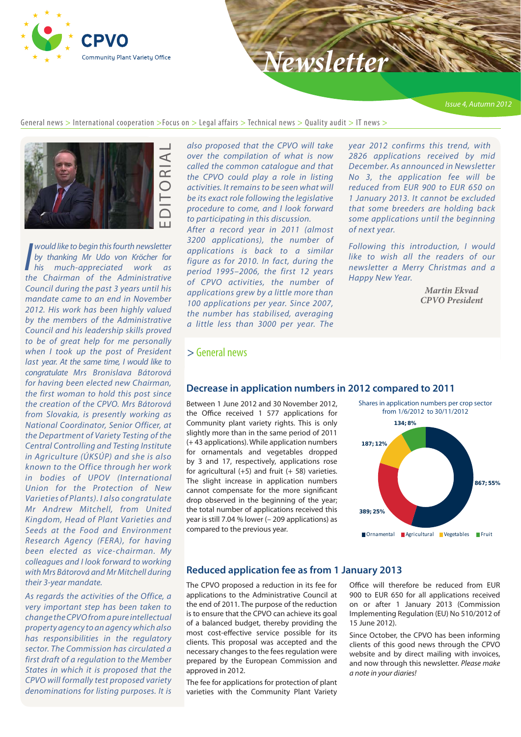

# *Newsletter*

[General news](#page-0-0)  $>$  International cooperation  $>$ Focus on  $>$  [Legal affairs](#page-3-0)  $>$  Technical news  $>$  Ouality audit  $>$  IT news  $>$ 



**I** *I vould like to begin this fourth newsletter*<br>by thanking Mr Udo von Kröcher for<br>his much-appreciated work as<br>the Chairman of the Administrative *would like to begin this fourth newsletter by thanking Mr Udo von Kröcher for his much-appreciated work as Council during the past 3 years until his mandate came to an end in November 2012. His work has been highly valued by the members of the Administrative Council and his leadership skills proved to be of great help for me personally when I took up the post of President last year. At the same time, I would like to congratulate Mrs Bronislava Bátorová for having been elected new Chairman, the first woman to hold this post since the creation of the CPVO. Mrs Bátorová from Slovakia, is presently working as National Coordinator, Senior Officer, at the Department of Variety Testing of the Central Controlling and Testing Institute in Agriculture (ÚKSÚP) and she is also known to the Office through her work in bodies of UPOV (International Union for the Protection of New Varieties of Plants). I also congratulate Mr Andrew Mitchell, from United Kingdom, Head of Plant Varieties and Seeds at the Food and Environment Research Agency (FERA), for having been elected as vice-chairman. My colleagues and I look forward to working with Mrs Bátorová and Mr Mitchell during their 3-year mandate.*

*As regards the activities of the Office, a very important step has been taken to change the CPVO from a pure intellectual property agency to an agency which also has responsibilities in the regulatory sector. The Commission has circulated a first draft of a regulation to the Member States in which it is proposed that the CPVO will formally test proposed variety denominations for listing purposes. It is*  *also proposed that the CPVO will take over the compilation of what is now called the common catalogue and that the CPVO could play a role in listing activities. It remains to be seen what will be its exact role following the legislative procedure to come, and I look forward to participating in this discussion.*

*After a record year in 2011 (almost 3200 applications), the number of applications is back to a similar figure as for 2010. In fact, during the period 1995–2006, the first 12 years of CPVO activities, the number of applications grew by a little more than 100 applications per year. Since 2007, the number has stabilised, averaging a little less than 3000 per year. The* 

*year 2012 confirms this trend, with 2826 applications received by mid December. As announced in Newsletter No 3, the application fee will be reduced from EUR 900 to EUR 650 on 1 January 2013. It cannot be excluded that some breeders are holding back some applications until the beginning of next year.*

*Following this introduction, I would like to wish all the readers of our newsletter a Merry Christmas and a Happy New Year.*

> *Martin Ekvad CPVO President*

#### <span id="page-0-0"></span>> General news

#### **Decrease in application numbers in 2012 compared to 2011**

Between 1 June 2012 and 30 November 2012, the Office received 1 577 applications for Community plant variety rights. This is only slightly more than in the same period of 2011 (+ 43 applications). While application numbers for ornamentals and vegetables dropped by 3 and 17, respectively, applications rose for agricultural  $(+5)$  and fruit  $(+58)$  varieties. The slight increase in application numbers cannot compensate for the more significant drop observed in the beginning of the year; the total number of applications received this year is still 7.04 % lower (– 209 applications) as compared to the previous year.



#### **Reduced application fee as from 1 January 2013**

The CPVO proposed a reduction in its fee for applications to the Administrative Council at the end of 2011. The purpose of the reduction is to ensure that the CPVO can achieve its goal of a balanced budget, thereby providing the most cost-effective service possible for its clients. This proposal was accepted and the necessary changes to the fees regulation were prepared by the European Commission and approved in 2012.

The fee for applications for protection of plant varieties with the Community Plant Variety Office will therefore be reduced from EUR 900 to EUR 650 for all applications received on or after 1 January 2013 (Commission Implementing Regulation (EU) No 510/2012 of 15 June 2012).

Since October, the CPVO has been informing clients of this good news through the CPVO website and by direct mailing with invoices, and now through this newsletter. *Please make a note in your diaries!*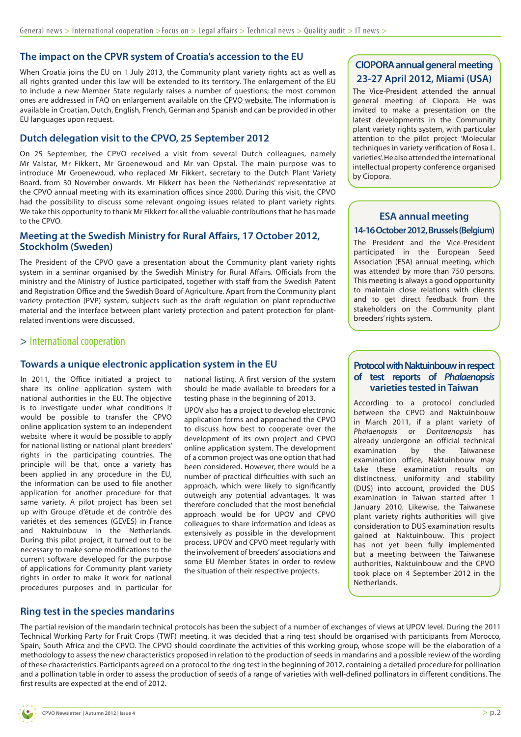#### **The impact on the CPVR system of Croatia's accession to the EU**

When Croatia joins the EU on 1 July 2013, the Community plant variety rights act as well as all rights granted under this law will be extended to its territory. The enlargement of the EU to include a new Member State regularly raises a number of questions; the most common ones are addressed in FAQ on enlargement available on the [CPVO website.](http://www.cpvo.europa.eu/main/en/home/news/press-releases-and-communications/209-faq-on-enlargement) The information is available in Croatian, Dutch, English, French, German and Spanish and can be provided in other EU languages upon request.

#### **Dutch delegation visit to the CPVO, 25 September 2012**

On 25 September, the CPVO received a visit from several Dutch colleagues, namely Mr Valstar, Mr Fikkert, Mr Groenewoud and Mr van Opstal. The main purpose was to introduce Mr Groenewoud, who replaced Mr Fikkert, secretary to the Dutch Plant Variety Board, from 30 November onwards. Mr Fikkert has been the Netherlands' representative at the CPVO annual meeting with its examination offices since 2000. During this visit, the CPVO had the possibility to discuss some relevant ongoing issues related to plant variety rights. We take this opportunity to thank Mr Fikkert for all the valuable contributions that he has made to the CPVO.

#### **Meeting at the Swedish Ministry for Rural Affairs, 17 October 2012, Stockholm (Sweden)**

The President of the CPVO gave a presentation about the Community plant variety rights system in a seminar organised by the Swedish Ministry for Rural Affairs. Officials from the ministry and the Ministry of Justice participated, together with staff from the Swedish Patent and Registration Office and the Swedish Board of Agriculture. Apart from the Community plant variety protection (PVP) system, subjects such as the draft regulation on plant reproductive material and the interface between plant variety protection and patent protection for plantrelated inventions were discussed.

#### > International cooperation

#### **Towards a unique electronic application system in the EU**

In 2011, the Office initiated a project to share its online application system with national authorities in the EU. The objective is to investigate under what conditions it would be possible to transfer the CPVO online application system to an independent website where it would be possible to apply for national listing or national plant breeders' rights in the participating countries. The principle will be that, once a variety has been applied in any procedure in the EU, the information can be used to file another application for another procedure for that same variety. A pilot project has been set up with Groupe d'étude et de contrôle des variétés et des semences (GEVES) in France and Naktuinbouw in the Netherlands. During this pilot project, it turned out to be necessary to make some modifications to the current software developed for the purpose of applications for Community plant variety rights in order to make it work for national procedures purposes and in particular for national listing. A first version of the system should be made available to breeders for a testing phase in the beginning of 2013.

UPOV also has a project to develop electronic application forms and approached the CPVO to discuss how best to cooperate over the development of its own project and CPVO online application system. The development of a common project was one option that had been considered. However, there would be a number of practical difficulties with such an approach, which were likely to significantly outweigh any potential advantages. It was therefore concluded that the most beneficial approach would be for UPOV and CPVO colleagues to share information and ideas as extensively as possible in the development process. UPOV and CPVO meet regularly with the involvement of breeders' associations and some EU Member States in order to review the situation of their respective projects.

## **CIOPORA annual general meeting 23-27 April 2012, Miami (USA)**

The Vice-President attended the annual general meeting of Ciopora. He was invited to make a presentation on the latest developments in the Community plant variety rights system, with particular attention to the pilot project 'Molecular techniques in variety verification of Rosa L. varieties'. He also attended the international intellectual property conference organised by Ciopora.

#### **ESA annual meeting 14-16 October 2012, Brussels (Belgium)**

The President and the Vice-President participated in the European Seed Association (ESA) annual meeting, which was attended by more than 750 persons. This meeting is always a good opportunity to maintain close relations with clients and to get direct feedback from the stakeholders on the Community plant breeders' rights system.

#### **Protocol with Naktuinbouw in respect of test reports of** *Phalaenopsis*  **varieties tested in Taiwan**

According to a protocol concluded between the CPVO and Naktuinbouw in March 2011, if a plant variety of *Phalaenopsis* or *Doritaenopsis* has already undergone an official technical examination by the Taiwanese examination office, Naktuinbouw may take these examination results on distinctness, uniformity and stability (DUS) into account, provided the DUS examination in Taiwan started after 1 January 2010. Likewise, the Taiwanese plant variety rights authorities will give consideration to DUS examination results gained at Naktuinbouw. This project has not yet been fully implemented but a meeting between the Taiwanese authorities, Naktuinbouw and the CPVO took place on 4 September 2012 in the Netherlands.

#### **Ring test in the species mandarins**

The partial revision of the mandarin technical protocols has been the subject of a number of exchanges of views at UPOV level. During the 2011 Technical Working Party for Fruit Crops (TWF) meeting, it was decided that a ring test should be organised with participants from Morocco, Spain, South Africa and the CPVO. The CPVO should coordinate the activities of this working group, whose scope will be the elaboration of a methodology to assess the new characteristics proposed in relation to the production of seeds in mandarins and a possible review of the wording of these characteristics. Participants agreed on a protocol to the ring test in the beginning of 2012, containing a detailed procedure for pollination and a pollination table in order to assess the production of seeds of a range of varieties with well-defined pollinators in different conditions. The first results are expected at the end of 2012.

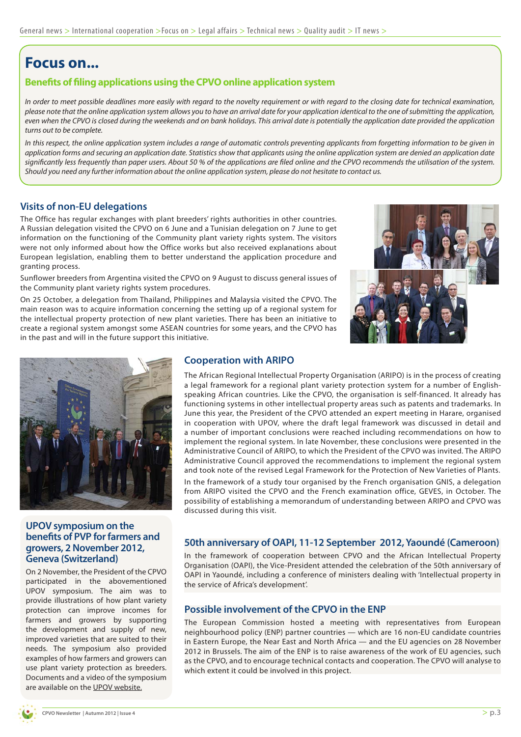# **Focus on...**

#### **Benefits of filing applications using the CPVO online application system**

*In order to meet possible deadlines more easily with regard to the novelty requirement or with regard to the closing date for technical examination, please note that the online application system allows you to have an arrival date for your application identical to the one of submitting the application, even when the CPVO is closed during the weekends and on bank holidays. This arrival date is potentially the application date provided the application turns out to be complete.* 

In this respect, the online application system includes a range of automatic controls preventing applicants from forgetting information to be given in *application forms and securing an application date. Statistics show that applicants using the online application system are denied an application date significantly less frequently than paper users. About 50 % of the applications are filed online and the CPVO recommends the utilisation of the system. Should you need any further information about the online application system, please do not hesitate to contact us.*

#### **Visits of non-EU delegations**

The Office has regular exchanges with plant breeders' rights authorities in other countries. A Russian delegation visited the CPVO on 6 June and a Tunisian delegation on 7 June to get information on the functioning of the Community plant variety rights system. The visitors were not only informed about how the Office works but also received explanations about European legislation, enabling them to better understand the application procedure and granting process.

Sunflower breeders from Argentina visited the CPVO on 9 August to discuss general issues of the Community plant variety rights system procedures.

On 25 October, a delegation from Thailand, Philippines and Malaysia visited the CPVO. The main reason was to acquire information concerning the setting up of a regional system for the intellectual property protection of new plant varieties. There has been an initiative to create a regional system amongst some ASEAN countries for some years, and the CPVO has in the past and will in the future support this initiative.





#### **UPOV symposium on the benefits of PVP for farmers and growers, 2 November 2012, Geneva (Switzerland)**

On 2 November, the President of the CPVO participated in the abovementioned UPOV symposium. The aim was to provide illustrations of how plant variety protection can improve incomes for farmers and growers by supporting the development and supply of new, improved varieties that are suited to their needs. The symposium also provided examples of how farmers and growers can use plant variety protection as breeders. Documents and a video of the symposium are available on the [UPOV website](http://www.upov.int).

#### **Cooperation with ARIPO**

The African Regional Intellectual Property Organisation (ARIPO) is in the process of creating a legal framework for a regional plant variety protection system for a number of Englishspeaking African countries. Like the CPVO, the organisation is self-financed. It already has functioning systems in other intellectual property areas such as patents and trademarks. In June this year, the President of the CPVO attended an expert meeting in Harare, organised in cooperation with UPOV, where the draft legal framework was discussed in detail and a number of important conclusions were reached including recommendations on how to implement the regional system. In late November, these conclusions were presented in the Administrative Council of ARIPO, to which the President of the CPVO was invited. The ARIPO Administrative Council approved the recommendations to implement the regional system and took note of the revised Legal Framework for the Protection of New Varieties of Plants.

In the framework of a study tour organised by the French organisation GNIS, a delegation from ARIPO visited the CPVO and the French examination office, GEVES, in October. The possibility of establishing a memorandum of understanding between ARIPO and CPVO was discussed during this visit.

#### **50th anniversary of OAPI, 11-12 September 2012, Yaoundé (Cameroon)**

In the framework of cooperation between CPVO and the African Intellectual Property Organisation (OAPI), the Vice-President attended the celebration of the 50th anniversary of OAPI in Yaoundé, including a conference of ministers dealing with 'Intellectual property in the service of Africa's development'.

#### **Possible involvement of the CPVO in the ENP**

The European Commission hosted a meeting with representatives from European neighbourhood policy (ENP) partner countries — which are 16 non-EU candidate countries in Eastern Europe, the Near East and North Africa — and the EU agencies on 28 November 2012 in Brussels. The aim of the ENP is to raise awareness of the work of EU agencies, such as the CPVO, and to encourage technical contacts and cooperation. The CPVO will analyse to which extent it could be involved in this project.

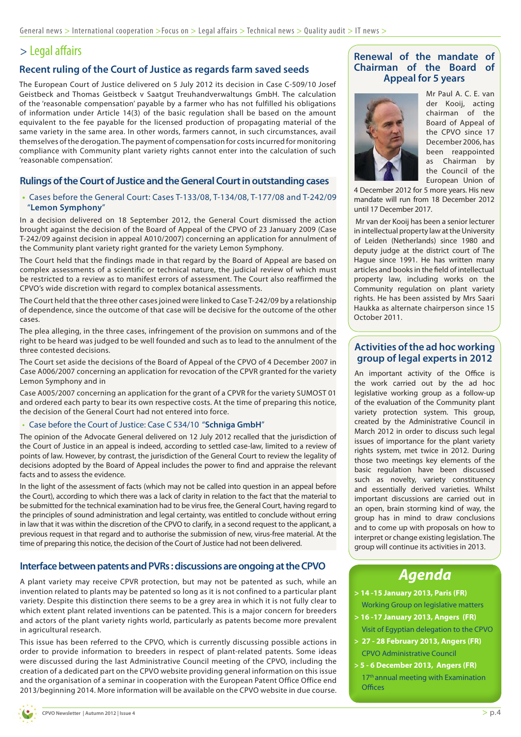# <span id="page-3-0"></span>> Legal affairs

#### **Recent ruling of the Court of Justice as regards farm saved seeds**

The European Court of Justice delivered on 5 July 2012 its decision in Case C-509/10 Josef Geistbeck and Thomas Geistbeck v Saatgut Treuhandverwaltungs GmbH. The calculation of the 'reasonable compensation' payable by a farmer who has not fulfilled his obligations of information under Article 14(3) of the basic regulation shall be based on the amount equivalent to the fee payable for the licensed production of propagating material of the same variety in the same area. In other words, farmers cannot, in such circumstances, avail themselves of the derogation. The payment of compensation for costs incurred for monitoring compliance with Community plant variety rights cannot enter into the calculation of such 'reasonable compensation'.

#### **Rulings of the Court of Justice and the General Court in outstanding cases**

**•**  Cases before the General Court: Cases T-133/08, T-134/08, T-177/08 and T-242/09 "**Lemon Symphony**"

In a decision delivered on 18 September 2012, the General Court dismissed the action brought against the decision of the Board of Appeal of the CPVO of 23 January 2009 (Case T-242/09 against decision in appeal A010/2007) concerning an application for annulment of the Community plant variety right granted for the variety Lemon Symphony.

The Court held that the findings made in that regard by the Board of Appeal are based on complex assessments of a scientific or technical nature, the judicial review of which must be restricted to a review as to manifest errors of assessment. The Court also reaffirmed the CPVO's wide discretion with regard to complex botanical assessments.

The Court held that the three other cases joined were linked to Case T-242/09 by a relationship of dependence, since the outcome of that case will be decisive for the outcome of the other cases.

The plea alleging, in the three cases, infringement of the provision on summons and of the right to be heard was judged to be well founded and such as to lead to the annulment of the three contested decisions.

The Court set aside the decisions of the Board of Appeal of the CPVO of 4 December 2007 in Case A006/2007 concerning an application for revocation of the CPVR granted for the variety Lemon Symphony and in

Case A005/2007 concerning an application for the grant of a CPVR for the variety SUMOST 01 and ordered each party to bear its own respective costs. At the time of preparing this notice, the decision of the General Court had not entered into force.

#### • Case before the Court of Justice: Case C 534/10 "**Schniga GmbH**"

The opinion of the Advocate General delivered on 12 July 2012 recalled that the jurisdiction of the Court of Justice in an appeal is indeed, according to settled case-law, limited to a review of points of law. However, by contrast, the jurisdiction of the General Court to review the legality of decisions adopted by the Board of Appeal includes the power to find and appraise the relevant facts and to assess the evidence.

In the light of the assessment of facts (which may not be called into question in an appeal before the Court), according to which there was a lack of clarity in relation to the fact that the material to be submitted for the technical examination had to be virus free, the General Court, having regard to the principles of sound administration and legal certainty, was entitled to conclude without erring in law that it was within the discretion of the CPVO to clarify, in a second request to the applicant, a previous request in that regard and to authorise the submission of new, virus-free material. At the time of preparing this notice, the decision of the Court of Justice had not been delivered.

#### **Interface between patents and PVRs : discussions are ongoing at the CPVO**

A plant variety may receive CPVR protection, but may not be patented as such, while an invention related to plants may be patented so long as it is not confined to a particular plant variety. Despite this distinction there seems to be a grey area in which it is not fully clear to which extent plant related inventions can be patented. This is a major concern for breeders and actors of the plant variety rights world, particularly as patents become more prevalent in agricultural research.

This issue has been referred to the CPVO, which is currently discussing possible actions in order to provide information to breeders in respect of plant-related patents. Some ideas were discussed during the last Administrative Council meeting of the CPVO, including the creation of a dedicated part on the CPVO website providing general information on this issue and the organisation of a seminar in cooperation with the European Patent Office Office end 2013/beginning 2014. More information will be available on the CPVO website in due course.



Mr Paul A. C. E. van der Kooij, acting chairman of the Board of Appeal of the CPVO since 17 December 2006, has been reappointed as Chairman by the Council of the European Union of

4 December 2012 for 5 more years. His new mandate will run from 18 December 2012 until 17 December 2017.

 Mr van der Kooij has been a senior lecturer in intellectual property law at the University of Leiden (Netherlands) since 1980 and deputy judge at the district court of The Hague since 1991. He has written many articles and books in the field of intellectual property law, including works on the Community regulation on plant variety rights. He has been assisted by Mrs Saari Haukka as alternate chairperson since 15 October 2011.

#### **Activities of the ad hoc working group of legal experts in 2012**

An important activity of the Office is the work carried out by the ad hoc legislative working group as a follow-up of the evaluation of the Community plant variety protection system. This group, created by the Administrative Council in March 2012 in order to discuss such legal issues of importance for the plant variety rights system, met twice in 2012. During those two meetings key elements of the basic regulation have been discussed such as novelty, variety constituency and essentially derived varieties. Whilst important discussions are carried out in an open, brain storming kind of way, the group has in mind to draw conclusions and to come up with proposals on how to interpret or change existing legislation. The group will continue its activities in 2013.

# *Agenda*

- **> 14 -15 January 2013, Paris (FR)** Working Group on legislative matters
- **> 16 -17 January 2013, Angers (FR)** Visit of Egyptian delegation to the CPVO
- **> 27 28 February 2013, Angers (FR)** CPVO Administrative Council
- **> 5 6 December 2013, Angers (FR)** 17<sup>th</sup> annual meeting with Examination **Offices**

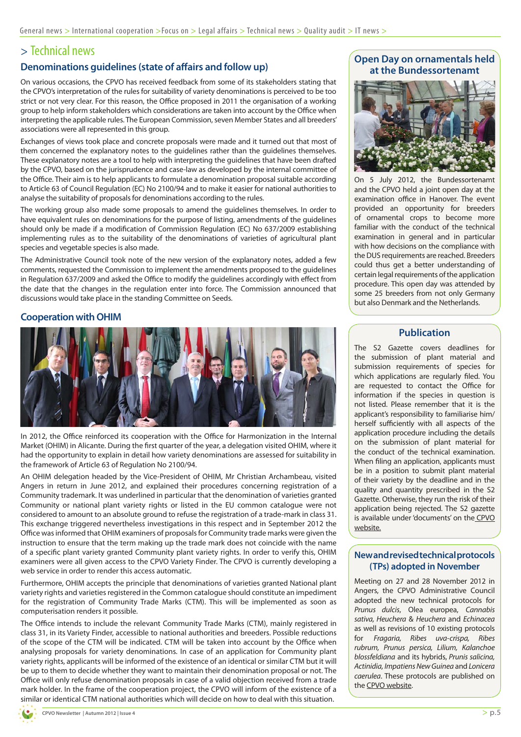## > Technical news

#### **Denominations guidelines (state of affairs and follow up)**

On various occasions, the CPVO has received feedback from some of its stakeholders stating that the CPVO's interpretation of the rules for suitability of variety denominations is perceived to be too strict or not very clear. For this reason, the Office proposed in 2011 the organisation of a working group to help inform stakeholders which considerations are taken into account by the Office when interpreting the applicable rules. The European Commission, seven Member States and all breeders' associations were all represented in this group.

Exchanges of views took place and concrete proposals were made and it turned out that most of them concerned the explanatory notes to the guidelines rather than the guidelines themselves. These explanatory notes are a tool to help with interpreting the guidelines that have been drafted by the CPVO, based on the jurisprudence and case-law as developed by the internal committee of the Office. Their aim is to help applicants to formulate a denomination proposal suitable according to Article 63 of Council Regulation (EC) No 2100/94 and to make it easier for national authorities to analyse the suitability of proposals for denominations according to the rules.

The working group also made some proposals to amend the guidelines themselves. In order to have equivalent rules on denominations for the purpose of listing, amendments of the guidelines should only be made if a modification of Commission Regulation (EC) No 637/2009 establishing implementing rules as to the suitability of the denominations of varieties of agricultural plant species and vegetable species is also made.

The Administrative Council took note of the new version of the explanatory notes, added a few comments, requested the Commission to implement the amendments proposed to the guidelines in Regulation 637/2009 and asked the Office to modify the guidelines accordingly with effect from the date that the changes in the regulation enter into force. The Commission announced that discussions would take place in the standing Committee on Seeds.

#### **Cooperation with OHIM**



In 2012, the Office reinforced its cooperation with the Office for Harmonization in the Internal Market (OHIM) in Alicante. During the first quarter of the year, a delegation visited OHIM, where it had the opportunity to explain in detail how variety denominations are assessed for suitability in the framework of Article 63 of Regulation No 2100/94.

An OHIM delegation headed by the Vice-President of OHIM, Mr Christian Archambeau, visited Angers in return in June 2012, and explained their procedures concerning registration of a Community trademark. It was underlined in particular that the denomination of varieties granted Community or national plant variety rights or listed in the EU common catalogue were not considered to amount to an absolute ground to refuse the registration of a trade-mark in class 31. This exchange triggered nevertheless investigations in this respect and in September 2012 the Office was informed that OHIM examiners of proposals for Community trade marks were given the instruction to ensure that the term making up the trade mark does not coincide with the name of a specific plant variety granted Community plant variety rights. In order to verify this, OHIM examiners were all given access to the CPVO Variety Finder. The CPVO is currently developing a web service in order to render this access automatic.

Furthermore, OHIM accepts the principle that denominations of varieties granted National plant variety rights and varieties registered in the Common catalogue should constitute an impediment for the registration of Community Trade Marks (CTM). This will be implemented as soon as computerisation renders it possible.

The Office intends to include the relevant Community Trade Marks (CTM), mainly registered in class 31, in its Variety Finder, accessible to national authorities and breeders. Possible reductions of the scope of the CTM will be indicated. CTM will be taken into account by the Office when analysing proposals for variety denominations. In case of an application for Community plant variety rights, applicants will be informed of the existence of an identical or similar CTM but it will be up to them to decide whether they want to maintain their denomination proposal or not. The Office will only refuse denomination proposals in case of a valid objection received from a trade mark holder. In the frame of the cooperation project, the CPVO will inform of the existence of a similar or identical CTM national authorities which will decide on how to deal with this situation.

#### **Open Day on ornamentals held at the Bundessortenamt**



On 5 July 2012, the Bundessortenamt and the CPVO held a joint open day at the examination office in Hanover. The event provided an opportunity for breeders of ornamental crops to become more familiar with the conduct of the technical examination in general and in particular with how decisions on the compliance with the DUS requirements are reached. Breeders could thus get a better understanding of certain legal requirements of the application procedure. This open day was attended by some 25 breeders from not only Germany but also Denmark and the Netherlands.

#### **Publication**

The S2 Gazette covers deadlines for the submission of plant material and submission requirements of species for which applications are regularly filed. You are requested to contact the Office for information if the species in question is not listed. Please remember that it is the applicant's responsibility to familiarise him/ herself sufficiently with all aspects of the application procedure including the details on the submission of plant material for the conduct of the technical examination. When filing an application, applicants must be in a position to submit plant material of their variety by the deadline and in the quality and quantity prescribed in the S2 Gazette. Otherwise, they run the risk of their application being rejected. The S2 gazette is available under 'documents' on the [CPVO](http://www.cpvo.europa.eu/main/en/home/documents-and-publications/s2-gazette)  [website.](http://www.cpvo.europa.eu/main/en/home/documents-and-publications/s2-gazette)

#### **New and revised technical protocols (TPs) adopted in November**

Meeting on 27 and 28 November 2012 in Angers, the CPVO Administrative Council adopted the new technical protocols for *Prunus dulcis*, Olea europea, *Cannabis sativa, Heuchera* & *Heuchera* and *Echinacea*  as well as revisions of 10 existing protocols for *Fragaria, Ribes uva-crispa, Ribes rubrum, Prunus persica, Lilium, Kalanchoe blossfeldiana* and its hybrids, *Prunis salicina, Actinidia, Impatiens New Guinea* and *Lonicera caerulea*. These protocols are published on the [CPVO website](http://www.cpvo.europa.eu/main/en/home/technical-examinations/technical-protocols).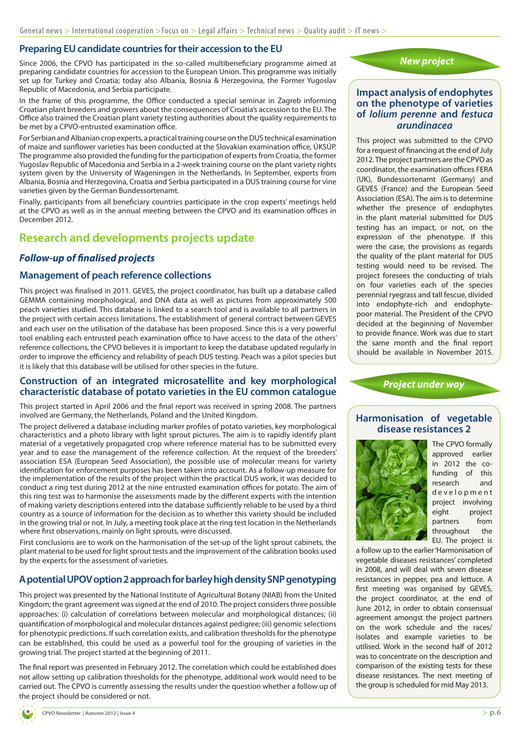## **Preparing EU candidate countries for their accession to the EU**

Since 2006, the CPVO has participated in the so-called multibeneficiary programme aimed at preparing candidate countries for accession to the European Union. This programme was initially set up for Turkey and Croatia; today also Albania, Bosnia & Herzegovina, the Former Yugoslav Republic of Macedonia, and Serbia participate.

In the frame of this programme, the Office conducted a special seminar in Zagreb informing Croatian plant breeders and growers about the consequences of Croatia's accession to the EU. The Office also trained the Croatian plant variety testing authorities about the quality requirements to be met by a CPVO-entrusted examination office.

For Serbian and Albanian crop experts, a practical training course on the DUS technical examination of maize and sunflower varieties has been conducted at the Slovakian examination office, ÚKSÚP. The programme also provided the funding for the participation of experts from Croatia, the former Yugoslav Republic of Macedonia and Serbia in a 2-week training course on the plant variety rights system given by the University of Wageningen in the Netherlands. In September, experts from Albania, Bosnia and Herzegovina, Croatia and Serbia participated in a DUS training course for vine varieties given by the German Bundessortenamt.

Finally, participants from all beneficiary countries participate in the crop experts' meetings held at the CPVO as well as in the annual meeting between the CPVO and its examination offices in December 2012.

# **Research and developments projects update**

## *Follow-up of finalised projects*

## **Management of peach reference collections**

This project was finalised in 2011. GEVES, the project coordinator, has built up a database called GEMMA containing morphological, and DNA data as well as pictures from approximately 500 peach varieties studied. This database is linked to a search tool and is available to all partners in the project with certain access limitations. The establishment of general contract between GEVES and each user on the utilisation of the database has been proposed. Since this is a very powerful tool enabling each entrusted peach examination office to have access to the data of the others' reference collections, the CPVO believes it is important to keep the database updated regularly in order to improve the efficiency and reliability of peach DUS testing. Peach was a pilot species but it is likely that this database will be utilised for other species in the future.

#### **Construction of an integrated microsatellite and key morphological characteristic database of potato varieties in the EU common catalogue**

This project started in April 2006 and the final report was received in spring 2008. The partners involved are Germany, the Netherlands, Poland and the United Kingdom.

The project delivered a database including marker profiles of potato varieties, key morphological characteristics and a photo library with light sprout pictures. The aim is to rapidly identify plant material of a vegetatively propagated crop where reference material has to be submitted every year and to ease the management of the reference collection. At the request of the breeders' association ESA (European Seed Association), the possible use of molecular means for variety identification for enforcement purposes has been taken into account. As a follow-up measure for the implementation of the results of the project within the practical DUS work, it was decided to conduct a ring test during 2012 at the nine entrusted examination offices for potato. The aim of this ring test was to harmonise the assessments made by the different experts with the intention of making variety descriptions entered into the database sufficiently reliable to be used by a third country as a source of information for the decision as to whether this variety should be included in the growing trial or not. In July, a meeting took place at the ring test location in the Netherlands where first observations, mainly on light sprouts, were discussed.

First conclusions are to work on the harmonisation of the set-up of the light sprout cabinets, the plant material to be used for light sprout tests and the improvement of the calibration books used by the experts for the assessment of varieties.

## **A potential UPOV option 2 approach for barley high density SNP genotyping**

This project was presented by the National Institute of Agricultural Botany (NIAB) from the United Kingdom; the grant agreement was signed at the end of 2010. The project considers three possible approaches: (i) calculation of correlations between molecular and morphological distances; (ii) quantification of morphological and molecular distances against pedigree; (iii) genomic selections for phenotypic predictions. If such correlation exists, and calibration thresholds for the phenotype can be established, this could be used as a powerful tool for the grouping of varieties in the growing trial. The project started at the beginning of 2011.

The final report was presented in February 2012. The correlation which could be established does not allow setting up calibration thresholds for the phenotype, additional work would need to be carried out. The CPVO is currently assessing the results under the question whether a follow up of the project should be considered or not.



#### **Impact analysis of endophytes on the phenotype of varieties of** *lolium perenne* **and** *festuca arundinacea*

This project was submitted to the CPVO for a request of financing at the end of July 2012. The project partners are the CPVO as coordinator, the examination offices FERA (UK), Bundessortenamt (Germany) and GEVES (France) and the European Seed Association (ESA). The aim is to determine whether the presence of endophytes in the plant material submitted for DUS testing has an impact, or not, on the expression of the phenotype. If this were the case, the provisions as regards the quality of the plant material for DUS testing would need to be revised. The project foresees the conducting of trials on four varieties each of the species perennial ryegrass and tall fescue, divided into endophyte-rich and endophytepoor material. The President of the CPVO decided at the beginning of November to provide finance. Work was due to start the same month and the final report should be available in November 2015.

*Project under way*

## **Harmonisation of vegetable disease resistances 2**



The CPVO formally approved earlier in 2012 the cofunding of this research and d e v e l o p m e n t project involving eight project partners from throughout the EU. The project is

a follow up to the earlier 'Harmonisation of vegetable diseases resistances' completed in 2008, and will deal with seven disease resistances in pepper, pea and lettuce. A first meeting was organised by GEVES, the project coordinator, at the end of June 2012, in order to obtain consensual agreement amongst the project partners on the work schedule and the races/ isolates and example varieties to be utilised. Work in the second half of 2012 was to concentrate on the description and comparison of the existing tests for these disease resistances. The next meeting of the group is scheduled for mid May 2013.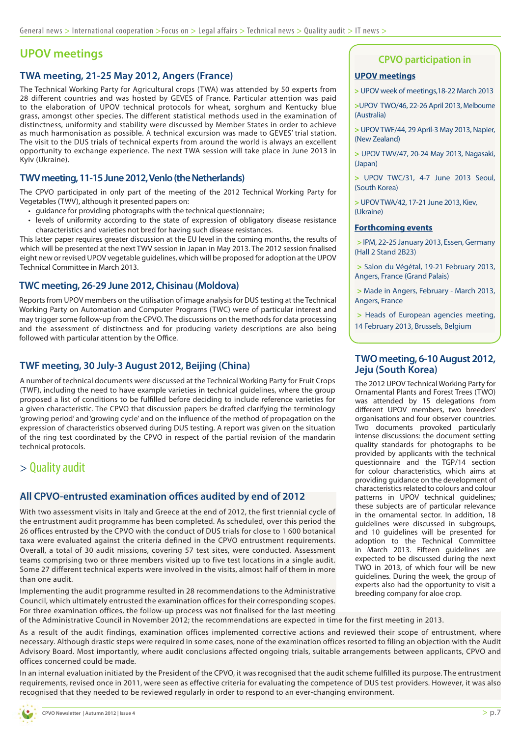## **UPOV meetings**

#### **TWA meeting, 21-25 May 2012, Angers (France)**

The Technical Working Party for Agricultural crops (TWA) was attended by 50 experts from 28 different countries and was hosted by GEVES of France. Particular attention was paid to the elaboration of UPOV technical protocols for wheat, sorghum and Kentucky blue grass, amongst other species. The different statistical methods used in the examination of distinctness, uniformity and stability were discussed by Member States in order to achieve as much harmonisation as possible. A technical excursion was made to GEVES' trial station. The visit to the DUS trials of technical experts from around the world is always an excellent opportunity to exchange experience. The next TWA session will take place in June 2013 in Kyiv (Ukraine).

#### **TWV meeting, 11-15 June 2012, Venlo (the Netherlands)**

The CPVO participated in only part of the meeting of the 2012 Technical Working Party for Vegetables (TWV), although it presented papers on:

- quidance for providing photographs with the technical questionnaire;
- levels of uniformity according to the state of expression of obligatory disease resistance characteristics and varieties not bred for having such disease resistances.

This latter paper requires greater discussion at the EU level in the coming months, the results of which will be presented at the next TWV session in Japan in May 2013. The 2012 session finalised eight new or revised UPOV vegetable guidelines, which will be proposed for adoption at the UPOV Technical Committee in March 2013.

#### **TWC meeting, 26-29 June 2012, Chisinau (Moldova)**

Reports from UPOV members on the utilisation of image analysis for DUS testing at the Technical Working Party on Automation and Computer Programs (TWC) were of particular interest and may trigger some follow-up from the CPVO. The discussions on the methods for data processing and the assessment of distinctness and for producing variety descriptions are also being followed with particular attention by the Office.

#### **TWF meeting, 30 July-3 August 2012, Beijing (China)**

A number of technical documents were discussed at the Technical Working Party for Fruit Crops (TWF), including the need to have example varieties in technical guidelines, where the group proposed a list of conditions to be fulfilled before deciding to include reference varieties for a given characteristic. The CPVO that discussion papers be drafted clarifying the terminology 'growing period' and 'growing cycle' and on the influence of the method of propagation on the expression of characteristics observed during DUS testing. A report was given on the situation of the ring test coordinated by the CPVO in respect of the partial revision of the mandarin technical protocols.

## > Quality audit

#### **All CPVO-entrusted examination offices audited by end of 2012**

With two assessment visits in Italy and Greece at the end of 2012, the first triennial cycle of the entrustment audit programme has been completed. As scheduled, over this period the 26 offices entrusted by the CPVO with the conduct of DUS trials for close to 1 600 botanical taxa were evaluated against the criteria defined in the CPVO entrustment requirements. Overall, a total of 30 audit missions, covering 57 test sites, were conducted. Assessment teams comprising two or three members visited up to five test locations in a single audit. Some 27 different technical experts were involved in the visits, almost half of them in more than one audit.

Implementing the audit programme resulted in 28 recommendations to the Administrative Council, which ultimately entrusted the examination offices for their corresponding scopes. For three examination offices, the follow-up process was not finalised for the last meeting

### **CPVO participation in**

#### **UPOV meetings**

**>** UPOV week of meetings,18-22 March 2013

**>**UPOV TWO/46, 22-26 April 2013, Melbourne (Australia)

**>** UPOV TWF/44, 29 April-3 May 2013, Napier, (New Zealand)

**>** UPOV TWV/47, 20-24 May 2013, Nagasaki, (Japan)

**>** UPOV TWC/31, 4-7 June 2013 Seoul, (South Korea)

**>** UPOV TWA/42, 17-21 June 2013, Kiev, (Ukraine)

#### **Forthcoming events**

**>** IPM, 22-25 January 2013, Essen, Germany (Hall 2 Stand 2B23)

**>** Salon du Végétal, 19-21 February 2013, Angers, France (Grand Palais)

**>** Made in Angers, February - March 2013, Angers, France

**>** Heads of European agencies meeting, 14 February 2013, Brussels, Belgium

#### **TWO meeting, 6-10 August 2012, Jeju (South Korea)**

The 2012 UPOV Technical Working Party for Ornamental Plants and Forest Trees (TWO) was attended by 15 delegations from different UPOV members, two breeders' organisations and four observer countries. Two documents provoked particularly intense discussions: the document setting quality standards for photographs to be provided by applicants with the technical questionnaire and the TGP/14 section for colour characteristics, which aims at providing guidance on the development of characteristics related to colours and colour patterns in UPOV technical guidelines; these subjects are of particular relevance in the ornamental sector. In addition, 18 guidelines were discussed in subgroups, and 10 quidelines will be presented for adoption to the Technical Committee in March 2013. Fifteen guidelines are expected to be discussed during the next TWO in 2013, of which four will be new guidelines. During the week, the group of experts also had the opportunity to visit a breeding company for aloe crop.

of the Administrative Council in November 2012; the recommendations are expected in time for the first meeting in 2013. As a result of the audit findings, examination offices implemented corrective actions and reviewed their scope of entrustment, where

necessary. Although drastic steps were required in some cases, none of the examination offices resorted to filing an objection with the Audit Advisory Board. Most importantly, where audit conclusions affected ongoing trials, suitable arrangements between applicants, CPVO and offices concerned could be made.

In an internal evaluation initiated by the President of the CPVO, it was recognised that the audit scheme fulfilled its purpose. The entrustment requirements, revised once in 2011, were seen as effective criteria for evaluating the competence of DUS test providers. However, it was also recognised that they needed to be reviewed regularly in order to respond to an ever-changing environment.